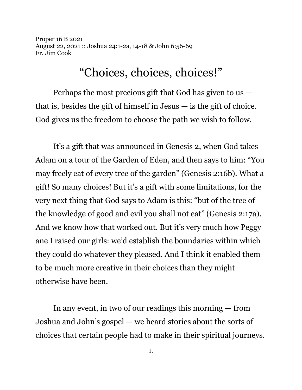Proper 16 B 2021 August 22, 2021 :: Joshua 24:1-2a, 14-18 & John 6:56-69 Fr. Jim Cook

## "Choices, choices, choices!"

Perhaps the most precious gift that God has given to us that is, besides the gift of himself in Jesus  $-$  is the gift of choice. God gives us the freedom to choose the path we wish to follow.

It's a gift that was announced in Genesis 2, when God takes Adam on a tour of the Garden of Eden, and then says to him: "You may freely eat of every tree of the garden" (Genesis 2:16b). What a gift! So many choices! But it's a gift with some limitations, for the very next thing that God says to Adam is this: "but of the tree of the knowledge of good and evil you shall not eat" (Genesis 2:17a). And we know how that worked out. But it's very much how Peggy ane I raised our girls: we'd establish the boundaries within which they could do whatever they pleased. And I think it enabled them to be much more creative in their choices than they might otherwise have been.

In any event, in two of our readings this morning — from Joshua and John's gospel — we heard stories about the sorts of choices that certain people had to make in their spiritual journeys.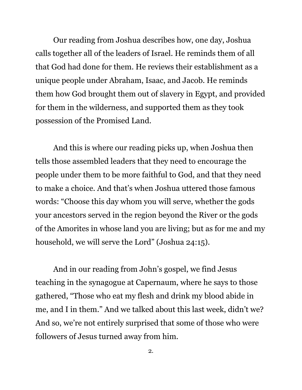Our reading from Joshua describes how, one day, Joshua calls together all of the leaders of Israel. He reminds them of all that God had done for them. He reviews their establishment as a unique people under Abraham, Isaac, and Jacob. He reminds them how God brought them out of slavery in Egypt, and provided for them in the wilderness, and supported them as they took possession of the Promised Land.

And this is where our reading picks up, when Joshua then tells those assembled leaders that they need to encourage the people under them to be more faithful to God, and that they need to make a choice. And that's when Joshua uttered those famous words: "Choose this day whom you will serve, whether the gods your ancestors served in the region beyond the River or the gods of the Amorites in whose land you are living; but as for me and my household, we will serve the Lord" (Joshua 24:15).

And in our reading from John's gospel, we find Jesus teaching in the synagogue at Capernaum, where he says to those gathered, "Those who eat my flesh and drink my blood abide in me, and I in them." And we talked about this last week, didn't we? And so, we're not entirely surprised that some of those who were followers of Jesus turned away from him.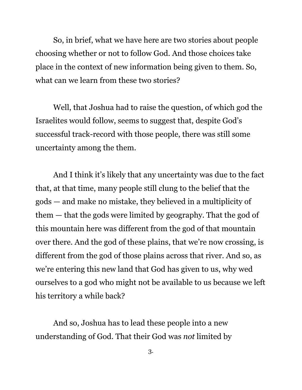So, in brief, what we have here are two stories about people choosing whether or not to follow God. And those choices take place in the context of new information being given to them. So, what can we learn from these two stories?

Well, that Joshua had to raise the question, of which god the Israelites would follow, seems to suggest that, despite God's successful track-record with those people, there was still some uncertainty among the them.

And I think it's likely that any uncertainty was due to the fact that, at that time, many people still clung to the belief that the gods — and make no mistake, they believed in a multiplicity of them — that the gods were limited by geography. That the god of this mountain here was different from the god of that mountain over there. And the god of these plains, that we're now crossing, is different from the god of those plains across that river. And so, as we're entering this new land that God has given to us, why wed ourselves to a god who might not be available to us because we left his territory a while back?

And so, Joshua has to lead these people into a new understanding of God. That their God was *not* limited by

3.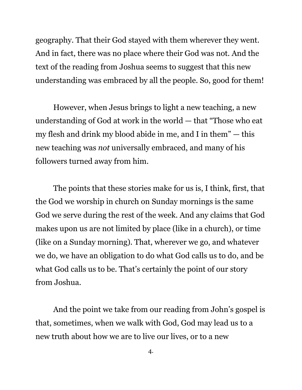geography. That their God stayed with them wherever they went. And in fact, there was no place where their God was not. And the text of the reading from Joshua seems to suggest that this new understanding was embraced by all the people. So, good for them!

However, when Jesus brings to light a new teaching, a new understanding of God at work in the world — that "Those who eat my flesh and drink my blood abide in me, and I in them" — this new teaching was *not* universally embraced, and many of his followers turned away from him.

The points that these stories make for us is, I think, first, that the God we worship in church on Sunday mornings is the same God we serve during the rest of the week. And any claims that God makes upon us are not limited by place (like in a church), or time (like on a Sunday morning). That, wherever we go, and whatever we do, we have an obligation to do what God calls us to do, and be what God calls us to be. That's certainly the point of our story from Joshua.

And the point we take from our reading from John's gospel is that, sometimes, when we walk with God, God may lead us to a new truth about how we are to live our lives, or to a new

4.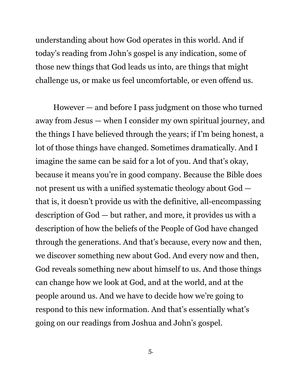understanding about how God operates in this world. And if today's reading from John's gospel is any indication, some of those new things that God leads us into, are things that might challenge us, or make us feel uncomfortable, or even offend us.

However — and before I pass judgment on those who turned away from Jesus — when I consider my own spiritual journey, and the things I have believed through the years; if I'm being honest, a lot of those things have changed. Sometimes dramatically. And I imagine the same can be said for a lot of you. And that's okay, because it means you're in good company. Because the Bible does not present us with a unified systematic theology about God that is, it doesn't provide us with the definitive, all-encompassing description of God — but rather, and more, it provides us with a description of how the beliefs of the People of God have changed through the generations. And that's because, every now and then, we discover something new about God. And every now and then, God reveals something new about himself to us. And those things can change how we look at God, and at the world, and at the people around us. And we have to decide how we're going to respond to this new information. And that's essentially what's going on our readings from Joshua and John's gospel.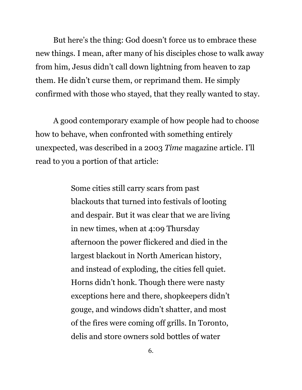But here's the thing: God doesn't force us to embrace these new things. I mean, after many of his disciples chose to walk away from him, Jesus didn't call down lightning from heaven to zap them. He didn't curse them, or reprimand them. He simply confirmed with those who stayed, that they really wanted to stay.

A good contemporary example of how people had to choose how to behave, when confronted with something entirely unexpected, was described in a 2003 *Time* magazine article. I'll read to you a portion of that article:

> Some cities still carry scars from past blackouts that turned into festivals of looting and despair. But it was clear that we are living in new times, when at 4:09 Thursday afternoon the power flickered and died in the largest blackout in North American history, and instead of exploding, the cities fell quiet. Horns didn't honk. Though there were nasty exceptions here and there, shopkeepers didn't gouge, and windows didn't shatter, and most of the fires were coming off grills. In Toronto, delis and store owners sold bottles of water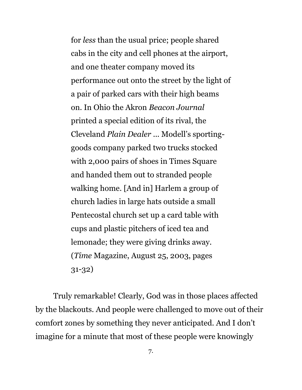for *less* than the usual price; people shared cabs in the city and cell phones at the airport, and one theater company moved its performance out onto the street by the light of a pair of parked cars with their high beams on. In Ohio the Akron *Beacon Journal* printed a special edition of its rival, the Cleveland *Plain Dealer* ... Modell's sportinggoods company parked two trucks stocked with 2,000 pairs of shoes in Times Square and handed them out to stranded people walking home. [And in] Harlem a group of church ladies in large hats outside a small Pentecostal church set up a card table with cups and plastic pitchers of iced tea and lemonade; they were giving drinks away. (*Time* Magazine, August 25, 2003, pages 31-32)

Truly remarkable! Clearly, God was in those places affected by the blackouts. And people were challenged to move out of their comfort zones by something they never anticipated. And I don't imagine for a minute that most of these people were knowingly